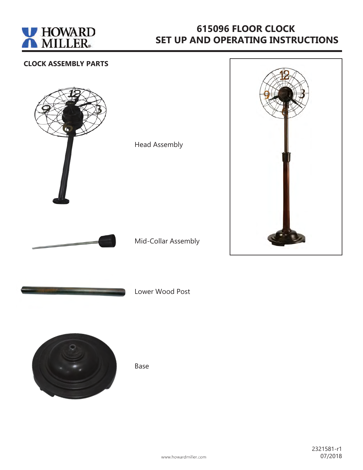

# **615096 FLOOR CLOCK SET UP AND OPERATING INSTRUCTIONS**

#### **CLOCK ASSEMBLY PARTS**



Head Assembly

Mid-Collar Assembly



Lower Wood Post



Base

www.howardmiller.com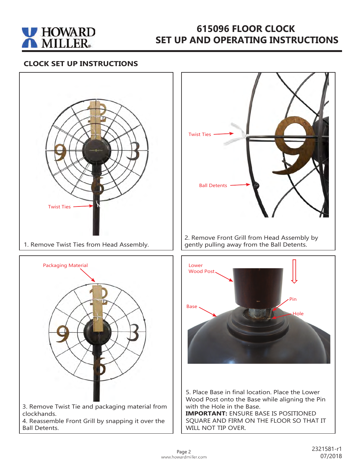

## **615096 FLOOR CLOCK SET UP AND OPERATING INSTRUCTIONS**

#### **CLOCK SET UP INSTRUCTIONS**



1. Remove Twist Ties from Head Assembly.







5. Place Base in final location. Place the Lower Wood Post onto the Base while aligning the Pin with the Hole in the Base.

**IMPORTANT:** ENSURE BASE IS POSITIONED SQUARE AND FIRM ON THE FLOOR SO THAT IT WILL NOT TIP OVER.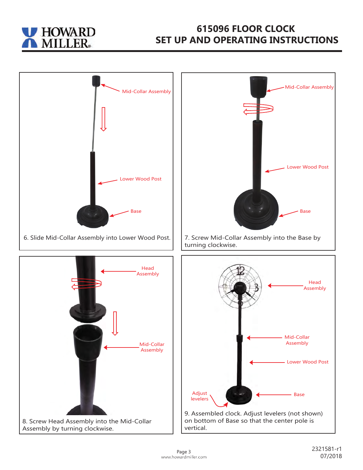

## **615096 FLOOR CLOCK SET UP AND OPERATING INSTRUCTIONS**